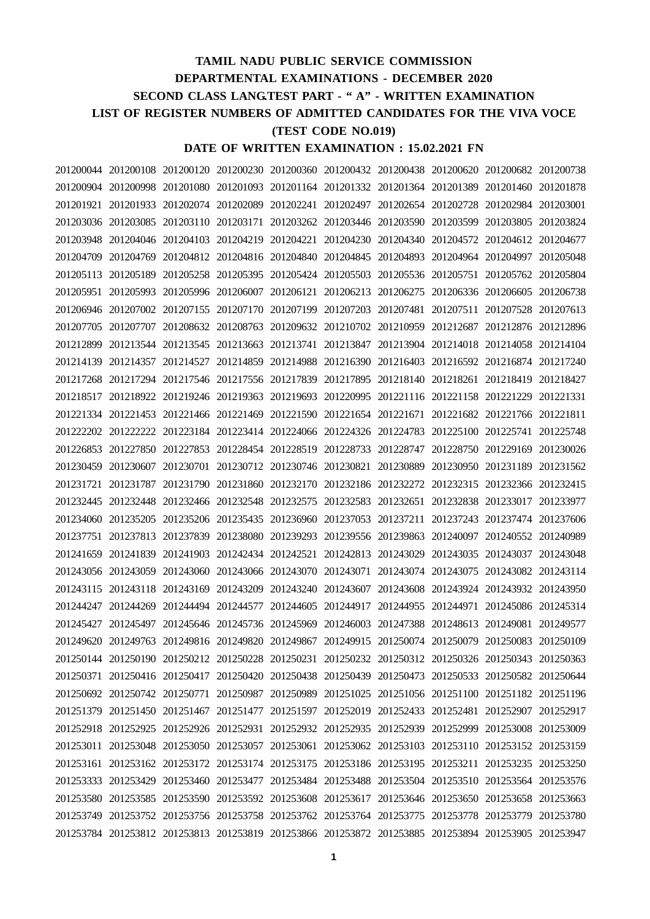## **TAMIL NADU PUBLIC SERVICE COMMISSION DEPARTMENTAL EXAMINATIONS - DECEMBER 2020 SECOND CLASS LANG.TEST PART - " A" - WRITTEN EXAMINATION LIST OF REGISTER NUMBERS OF ADMITTED CANDIDATES FOR THE VIVA VOCE (TEST CODE NO.019) DATE OF WRITTEN EXAMINATION : 15.02.2021 FN**